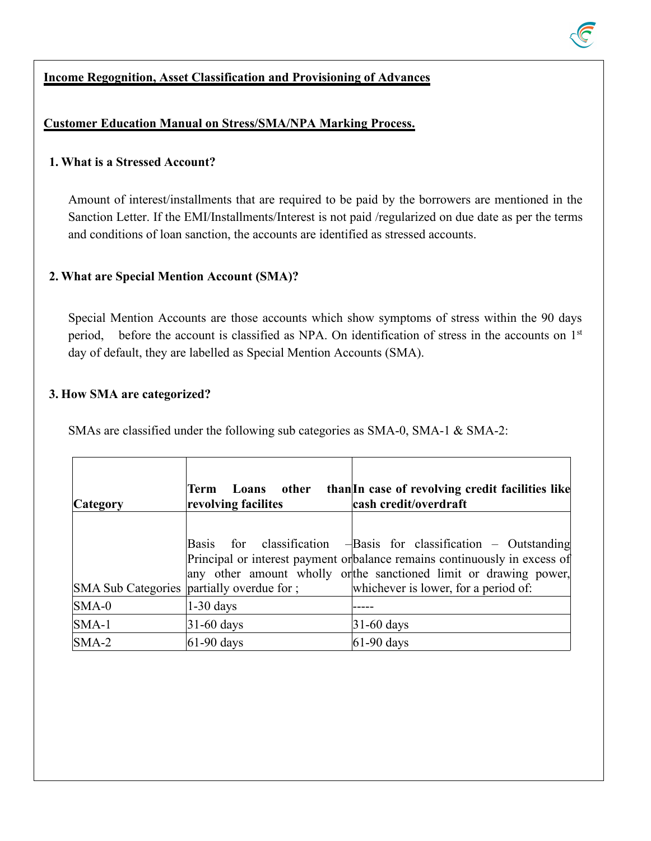### **Income Regognition, Asset Classification and Provisioning of Advances**

### **Customer Education Manual on Stress/SMA/NPA Marking Process.**

#### **1. What is a Stressed Account?**

Amount of interest/installments that are required to be paid by the borrowers are mentioned in the Sanction Letter. If the EMI/Installments/Interest is not paid /regularized on due date as per the terms and conditions of loan sanction, the accounts are identified as stressed accounts.

### **2. What are Special Mention Account (SMA)?**

Special Mention Accounts are those accounts which show symptoms of stress within the 90 days period, before the account is classified as NPA. On identification of stress in the accounts on  $1<sup>st</sup>$ day of default, they are labelled as Special Mention Accounts (SMA).

#### **3. How SMA are categorized?**

SMAs are classified under the following sub categories as SMA-0, SMA-1 & SMA-2:

| <b>Category</b> | other<br>Loans<br>Term<br>revolving facilites | than In case of revolving credit facilities like<br>cash credit/overdraft |
|-----------------|-----------------------------------------------|---------------------------------------------------------------------------|
|                 |                                               |                                                                           |
|                 | <b>Basis</b><br>for                           | classification $-\beta$ asis for classification – Outstanding             |
|                 |                                               | Principal or interest payment orbalance remains continuously in excess of |
|                 |                                               | any other amount wholly orthe sanctioned limit or drawing power,          |
|                 | SMA Sub Categories   partially overdue for ;  | whichever is lower, for a period of:                                      |
| $SMA-0$         | $1-30$ days                                   |                                                                           |
| $SMA-1$         | $31-60$ days                                  | $ 31-60 \text{ days} $                                                    |
| $SMA-2$         | $ 61-90 \text{ days} $                        | $61-90$ days                                                              |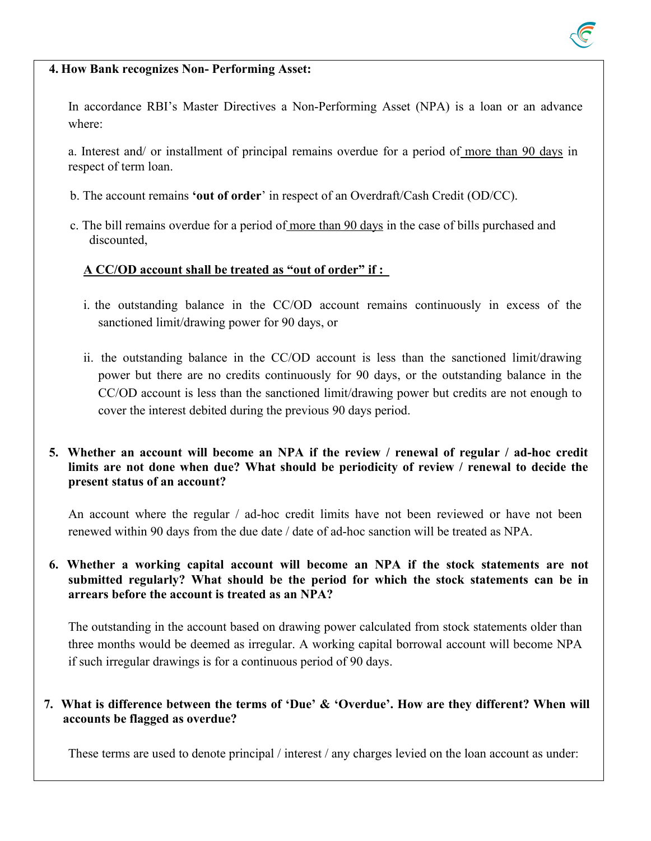

#### **4. How Bank recognizes Non- Performing Asset:**

In accordance RBI's Master Directives a Non-Performing Asset (NPA) is a loan or an advance where:

a. Interest and/ or installment of principal remains overdue for a period of more than 90 daysin respect of term loan.

- b. The account remains **'out of order**' in respect of an Overdraft/Cash Credit (OD/CC).
- c. The bill remains overdue for a period of more than 90 days in the case of bills purchased and discounted,

### **A CC/OD account shall be treated as "out of order" if :**

- i. the outstanding balance in the CC/OD account remains continuously in excess of the sanctioned limit/drawing power for 90 days, or
- ii. the outstanding balance in the CC/OD account is less than the sanctioned limit/drawing power but there are no credits continuously for 90 days, or the outstanding balance in the CC/OD account is less than the sanctioned limit/drawing power but credits are not enough to cover the interest debited during the previous 90 days period.

#### **5. Whether an account will become an NPA if the review / renewal of regular / ad-hoc credit limits are not done when due? What should be periodicity of review / renewal to decide the present status of an account?**

An account where the regular / ad-hoc credit limits have not been reviewed or have not been renewed within 90 days from the due date / date of ad-hoc sanction will be treated as NPA.

**6. Whether a working capital account will become an NPA if the stock statements are not submitted regularly? What should be the period for which the stock statements can be in arrears before the account is treated as an NPA?**

The outstanding in the account based on drawing power calculated from stock statements older than three months would be deemed as irregular. A working capital borrowal account will become NPA if such irregular drawings is for a continuous period of 90 days.

### **7. What is difference between the terms of 'Due' & 'Overdue'. How are they different? When will accounts be flagged as overdue?**

These terms are used to denote principal / interest / any charges levied on the loan account as under: